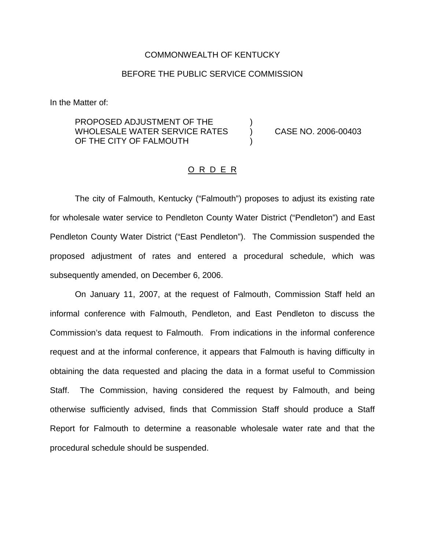## COMMONWEALTH OF KENTUCKY

## BEFORE THE PUBLIC SERVICE COMMISSION

In the Matter of:

PROPOSED ADJUSTMENT OF THE WHOLESALE WATER SERVICE RATES (and CASE NO. 2006-00403) OF THE CITY OF FALMOUTH

## O R D E R

The city of Falmouth, Kentucky ("Falmouth") proposes to adjust its existing rate for wholesale water service to Pendleton County Water District ("Pendleton") and East Pendleton County Water District ("East Pendleton"). The Commission suspended the proposed adjustment of rates and entered a procedural schedule, which was subsequently amended, on December 6, 2006.

On January 11, 2007, at the request of Falmouth, Commission Staff held an informal conference with Falmouth, Pendleton, and East Pendleton to discuss the Commission's data request to Falmouth. From indications in the informal conference request and at the informal conference, it appears that Falmouth is having difficulty in obtaining the data requested and placing the data in a format useful to Commission Staff. The Commission, having considered the request by Falmouth, and being otherwise sufficiently advised, finds that Commission Staff should produce a Staff Report for Falmouth to determine a reasonable wholesale water rate and that the procedural schedule should be suspended.